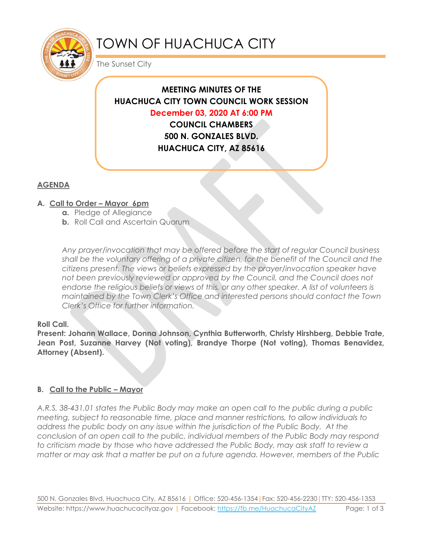

# TOWN OF HUACHUCA CITY

The Sunset City

# **MEETING MINUTES OF THE HUACHUCA CITY TOWN COUNCIL WORK SESSION December 03, 2020 AT 6:00 PM COUNCIL CHAMBERS**

**500 N. GONZALES BLVD. HUACHUCA CITY, AZ 85616**

# **AGENDA**

## **A. Call to Order – Mayor 6pm**

- **a.** Pledge of Allegiance
- **b.** Roll Call and Ascertain Quorum

*Any prayer/invocation that may be offered before the start of regular Council business shall be the voluntary offering of a private citizen, for the benefit of the Council and the citizens present. The views or beliefs expressed by the prayer/invocation speaker have not been previously reviewed or approved by the Council, and the Council does not endorse the religious beliefs or views of this, or any other speaker. A list of volunteers is maintained by the Town Clerk's Office and interested persons should contact the Town Clerk's Office for further information.*

## **Roll Call.**

**Present: Johann Wallace, Donna Johnson, Cynthia Butterworth, Christy Hirshberg, Debbie Trate, Jean Post, Suzanne Harvey (Not voting), Brandye Thorpe (Not voting), Thomas Benavidez, Attorney (Absent).**

## **B. Call to the Public – Mayor**

*A.R.S. 38-431.01 states the Public Body may make an open call to the public during a public meeting, subject to reasonable time, place and manner restrictions, to allow individuals to address the public body on any issue within the jurisdiction of the Public Body. At the conclusion of an open call to the public, individual members of the Public Body may respond to criticism made by those who have addressed the Public Body, may ask staff to review a matter or may ask that a matter be put on a future agenda. However, members of the Public*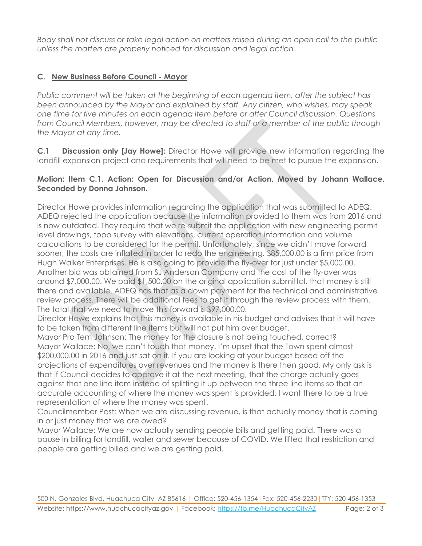*Body shall not discuss or take legal action on matters raised during an open call to the public unless the matters are properly noticed for discussion and legal action.*

## **C. New Business Before Council - Mayor**

*Public comment will be taken at the beginning of each agenda item, after the subject has been announced by the Mayor and explained by staff. Any citizen, who wishes, may speak one time for five minutes on each agenda item before or after Council discussion. Questions from Council Members, however, may be directed to staff or a member of the public through the Mayor at any time.* 

**C.1 Discussion only [Jay Howe]:** Director Howe will provide new information regarding the landfill expansion project and requirements that will need to be met to pursue the expansion.

#### **Motion: Item C.1, Action: Open for Discussion and/or Action, Moved by Johann Wallace, Seconded by Donna Johnson.**

Director Howe provides information regarding the application that was submitted to ADEQ: ADEQ rejected the application because the information provided to them was from 2016 and is now outdated. They require that we re-submit the application with new engineering permit level drawings, topo survey with elevations, current operation information and volume calculations to be considered for the permit. Unfortunately, since we didn't move forward sooner, the costs are inflated in order to redo the engineering. \$85,000.00 is a firm price from Hugh Walker Enterprises. He is also going to provide the fly-over for just under \$5,000.00. Another bid was obtained from SJ Anderson Company and the cost of the fly-over was around \$7,000.00. We paid \$1,500.00 on the original application submittal, that money is still there and available. ADEQ has that as a down payment for the technical and administrative review process. There will be additional fees to get it through the review process with them. The total that we need to move this forward is \$97,000.00.

Director Howe explains that this money is available in his budget and advises that it will have to be taken from different line items but will not put him over budget.

Mayor Pro Tem Johnson: The money for the closure is not being touched, correct? Mayor Wallace: No, we can't touch that money. I'm upset that the Town spent almost \$200,000.00 in 2016 and just sat on it. If you are looking at your budget based off the projections of expenditures over revenues and the money is there then good. My only ask is that if Council decides to approve it at the next meeting, that the charge actually goes against that one line item instead of splitting it up between the three line items so that an accurate accounting of where the money was spent is provided. I want there to be a true representation of where the money was spent.

Councilmember Post: When we are discussing revenue, is that actually money that is coming in or just money that we are owed?

Mayor Wallace: We are now actually sending people bills and getting paid. There was a pause in billing for landfill, water and sewer because of COVID. We lifted that restriction and people are getting billed and we are getting paid.